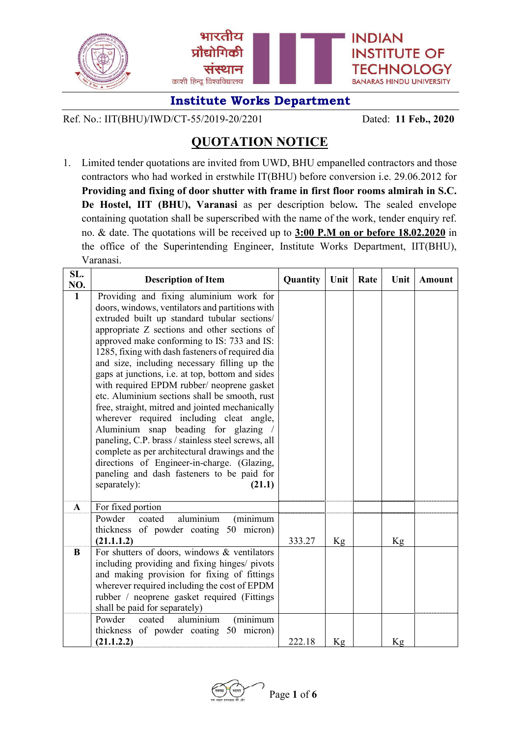

Ref. No.: IIT(BHU)/IWD/CT-55/2019-20/2201 Dated: **11 Feb., 2020**

# **QUOTATION NOTICE**

1. Limited tender quotations are invited from UWD, BHU empanelled contractors and those contractors who had worked in erstwhile IT(BHU) before conversion i.e. 29.06.2012 for **Providing and fixing of door shutter with frame in first floor rooms almirah in S.C. De Hostel, IIT (BHU), Varanasi** as per description below*.* The sealed envelope containing quotation shall be superscribed with the name of the work, tender enquiry ref. no. & date. The quotations will be received up to **3:00 P.M on or before 18.02.2020** in the office of the Superintending Engineer, Institute Works Department, IIT(BHU), Varanasi.

| SL.<br>NO.   | <b>Description of Item</b>                                                                                                                                                                                                                                                                                                                                                                                                                                                                                                                                                                                                                                                                                                                                                                                                                                             | Quantity | Unit | Rate | Unit | <b>Amount</b> |
|--------------|------------------------------------------------------------------------------------------------------------------------------------------------------------------------------------------------------------------------------------------------------------------------------------------------------------------------------------------------------------------------------------------------------------------------------------------------------------------------------------------------------------------------------------------------------------------------------------------------------------------------------------------------------------------------------------------------------------------------------------------------------------------------------------------------------------------------------------------------------------------------|----------|------|------|------|---------------|
| $\mathbf{1}$ | Providing and fixing aluminium work for<br>doors, windows, ventilators and partitions with<br>extruded built up standard tubular sections/<br>appropriate Z sections and other sections of<br>approved make conforming to IS: 733 and IS:<br>1285, fixing with dash fasteners of required dia<br>and size, including necessary filling up the<br>gaps at junctions, i.e. at top, bottom and sides<br>with required EPDM rubber/ neoprene gasket<br>etc. Aluminium sections shall be smooth, rust<br>free, straight, mitred and jointed mechanically<br>wherever required including cleat angle,<br>Aluminium snap beading for glazing /<br>paneling, C.P. brass / stainless steel screws, all<br>complete as per architectural drawings and the<br>directions of Engineer-in-charge. (Glazing,<br>paneling and dash fasteners to be paid for<br>separately):<br>(21.1) |          |      |      |      |               |
| $\mathbf{A}$ | For fixed portion<br>aluminium<br>Powder<br>coated<br>(minimum<br>thickness of powder coating 50 micron)<br>(21.1.1.2)                                                                                                                                                                                                                                                                                                                                                                                                                                                                                                                                                                                                                                                                                                                                                 | 333.27   | Kg   |      | Kg   |               |
| B            | For shutters of doors, windows & ventilators<br>including providing and fixing hinges/ pivots<br>and making provision for fixing of fittings<br>wherever required including the cost of EPDM<br>rubber / neoprene gasket required (Fittings<br>shall be paid for separately)                                                                                                                                                                                                                                                                                                                                                                                                                                                                                                                                                                                           |          |      |      |      |               |
|              | Powder<br>aluminium<br>(minimum<br>coated<br>thickness of powder coating 50 micron)<br>(21.1.2.2)                                                                                                                                                                                                                                                                                                                                                                                                                                                                                                                                                                                                                                                                                                                                                                      | 222.18   | Kg   |      | Kg   |               |

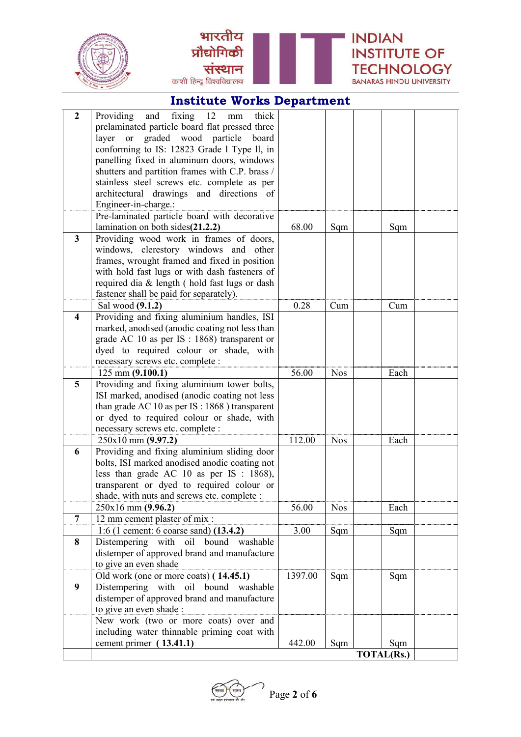



| $\boldsymbol{2}$ | Providing<br>and fixing 12<br>thick<br>$\rm mm$                            |         |            |                   |  |
|------------------|----------------------------------------------------------------------------|---------|------------|-------------------|--|
|                  | prelaminated particle board flat pressed three                             |         |            |                   |  |
|                  | graded wood particle<br>layer or<br>board                                  |         |            |                   |  |
|                  | conforming to IS: 12823 Grade 1 Type II, in                                |         |            |                   |  |
|                  | panelling fixed in aluminum doors, windows                                 |         |            |                   |  |
|                  | shutters and partition frames with C.P. brass /                            |         |            |                   |  |
|                  | stainless steel screws etc. complete as per                                |         |            |                   |  |
|                  | architectural drawings and directions of                                   |         |            |                   |  |
|                  | Engineer-in-charge.:                                                       |         |            |                   |  |
|                  | Pre-laminated particle board with decorative                               |         |            |                   |  |
|                  | lamination on both sides(21.2.2)                                           | 68.00   | Sqm        | Sqm               |  |
| $\mathbf{3}$     | Providing wood work in frames of doors,                                    |         |            |                   |  |
|                  | windows, clerestory windows and other                                      |         |            |                   |  |
|                  | frames, wrought framed and fixed in position                               |         |            |                   |  |
|                  | with hold fast lugs or with dash fasteners of                              |         |            |                   |  |
|                  | required dia & length (hold fast lugs or dash                              |         |            |                   |  |
|                  | fastener shall be paid for separately).                                    |         |            |                   |  |
|                  | Sal wood (9.1.2)                                                           | 0.28    | Cum        | Cum               |  |
| 4                | Providing and fixing aluminium handles, ISI                                |         |            |                   |  |
|                  | marked, anodised (anodic coating not less than                             |         |            |                   |  |
|                  | grade AC 10 as per IS : 1868) transparent or                               |         |            |                   |  |
|                  | dyed to required colour or shade, with<br>necessary screws etc. complete : |         |            |                   |  |
|                  | $125$ mm $(9.100.1)$                                                       | 56.00   | <b>Nos</b> | Each              |  |
| 5                | Providing and fixing aluminium tower bolts,                                |         |            |                   |  |
|                  | ISI marked, anodised (anodic coating not less                              |         |            |                   |  |
|                  | than grade AC 10 as per IS : 1868 ) transparent                            |         |            |                   |  |
|                  | or dyed to required colour or shade, with                                  |         |            |                   |  |
|                  | necessary screws etc. complete :                                           |         |            |                   |  |
|                  | $250x10$ mm $(9.97.2)$                                                     | 112.00  | <b>Nos</b> | Each              |  |
| 6                | Providing and fixing aluminium sliding door                                |         |            |                   |  |
|                  | bolts, ISI marked anodised anodic coating not                              |         |            |                   |  |
|                  | less than grade AC 10 as per IS : 1868),                                   |         |            |                   |  |
|                  | transparent or dyed to required colour or                                  |         |            |                   |  |
|                  | shade, with nuts and screws etc. complete :                                |         |            |                   |  |
|                  | $250x16$ mm $(9.96.2)$                                                     | 56.00   | <b>Nos</b> | Each              |  |
| $\overline{7}$   | 12 mm cement plaster of mix :                                              |         |            |                   |  |
|                  | 1:6 (1 cement: 6 coarse sand) (13.4.2)                                     | 3.00    | Sqm        | Sqm               |  |
| 8                | bound washable<br>Distempering with oil                                    |         |            |                   |  |
|                  | distemper of approved brand and manufacture                                |         |            |                   |  |
|                  | to give an even shade                                                      |         |            |                   |  |
|                  | Old work (one or more coats) (14.45.1)                                     | 1397.00 | Sqm        | Sqm               |  |
| 9                | Distempering with oil bound washable                                       |         |            |                   |  |
|                  | distemper of approved brand and manufacture                                |         |            |                   |  |
|                  | to give an even shade :                                                    |         |            |                   |  |
|                  | New work (two or more coats) over and                                      |         |            |                   |  |
|                  | including water thinnable priming coat with                                |         |            |                   |  |
|                  | cement primer (13.41.1)                                                    | 442.00  | Sqm        | Sqm               |  |
|                  |                                                                            |         |            | <b>TOTAL(Rs.)</b> |  |

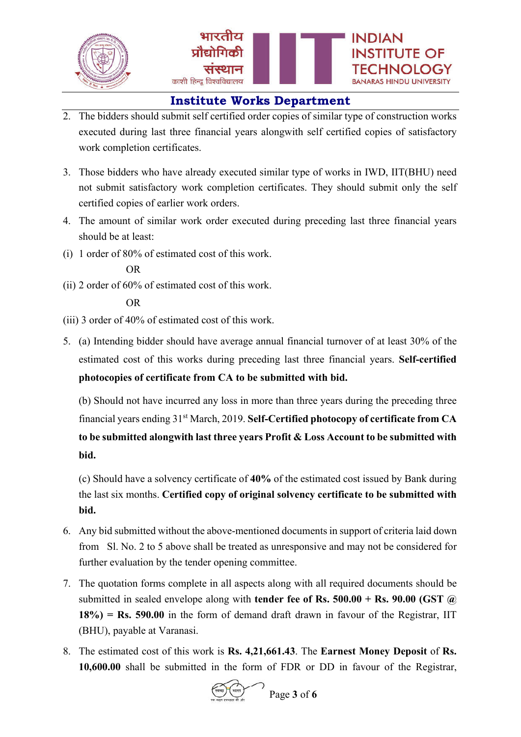

- 2. The bidders should submit self certified order copies of similar type of construction works executed during last three financial years alongwith self certified copies of satisfactory work completion certificates.
- 3. Those bidders who have already executed similar type of works in IWD, IIT(BHU) need not submit satisfactory work completion certificates. They should submit only the self certified copies of earlier work orders.
- 4. The amount of similar work order executed during preceding last three financial years should be at least:
- (i) 1 order of 80% of estimated cost of this work.

(ii) 2 order of 60% of estimated cost of this work.

- (iii) 3 order of 40% of estimated cost of this work.
- 5. (a) Intending bidder should have average annual financial turnover of at least 30% of the estimated cost of this works during preceding last three financial years. **Self-certified photocopies of certificate from CA to be submitted with bid.**

(b) Should not have incurred any loss in more than three years during the preceding three financial years ending 31st March, 2019. **Self-Certified photocopy of certificate from CA to be submitted alongwith last three years Profit & Loss Account to be submitted with bid.**

(c) Should have a solvency certificate of **40%** of the estimated cost issued by Bank during the last six months. **Certified copy of original solvency certificate to be submitted with bid.**

- 6. Any bid submitted without the above-mentioned documents in support of criteria laid down from Sl. No. 2 to 5 above shall be treated as unresponsive and may not be considered for further evaluation by the tender opening committee.
- 7. The quotation forms complete in all aspects along with all required documents should be submitted in sealed envelope along with **tender fee of Rs. 500.00 + Rs. 90.00 (GST @ 18%) = Rs. 590.00** in the form of demand draft drawn in favour of the Registrar, IIT (BHU), payable at Varanasi.
- 8. The estimated cost of this work is **Rs. 4,21,661.43**. The **Earnest Money Deposit** of **Rs. 10,600.00** shall be submitted in the form of FDR or DD in favour of the Registrar,



OR

OR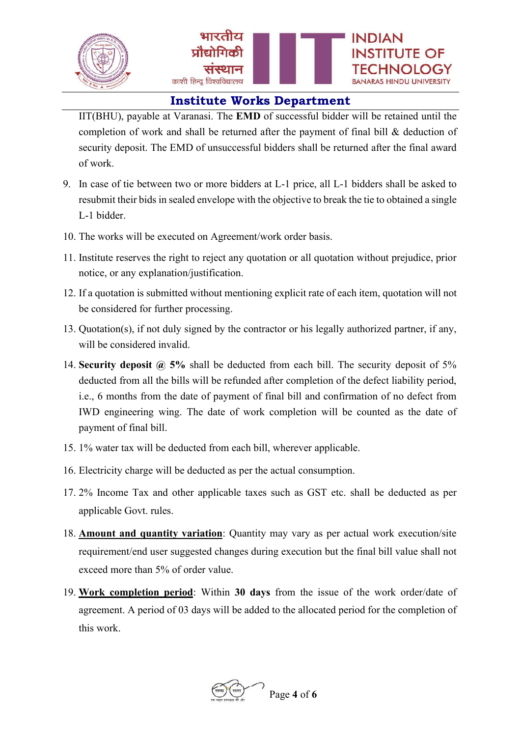

IIT(BHU), payable at Varanasi. The **EMD** of successful bidder will be retained until the completion of work and shall be returned after the payment of final bill & deduction of security deposit. The EMD of unsuccessful bidders shall be returned after the final award of work.

- 9. In case of tie between two or more bidders at L-1 price, all L-1 bidders shall be asked to resubmit their bids in sealed envelope with the objective to break the tie to obtained a single L-1 bidder.
- 10. The works will be executed on Agreement/work order basis.
- 11. Institute reserves the right to reject any quotation or all quotation without prejudice, prior notice, or any explanation/justification.
- 12. If a quotation is submitted without mentioning explicit rate of each item, quotation will not be considered for further processing.
- 13. Quotation(s), if not duly signed by the contractor or his legally authorized partner, if any, will be considered invalid.
- 14. **Security deposit @ 5%** shall be deducted from each bill. The security deposit of 5% deducted from all the bills will be refunded after completion of the defect liability period, i.e., 6 months from the date of payment of final bill and confirmation of no defect from IWD engineering wing. The date of work completion will be counted as the date of payment of final bill.
- 15. 1% water tax will be deducted from each bill, wherever applicable.
- 16. Electricity charge will be deducted as per the actual consumption.
- 17. 2% Income Tax and other applicable taxes such as GST etc. shall be deducted as per applicable Govt. rules.
- 18. **Amount and quantity variation**: Quantity may vary as per actual work execution/site requirement/end user suggested changes during execution but the final bill value shall not exceed more than 5% of order value.
- 19. **Work completion period**: Within **30 days** from the issue of the work order/date of agreement. A period of 03 days will be added to the allocated period for the completion of this work.

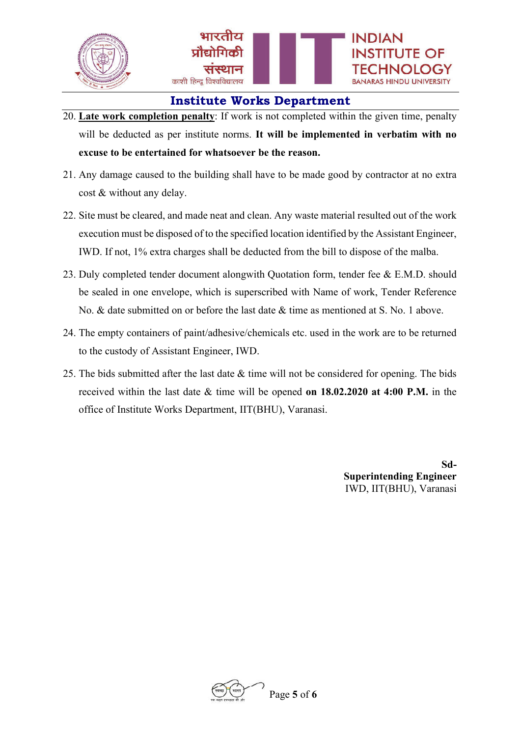

- 20. **Late work completion penalty**: If work is not completed within the given time, penalty will be deducted as per institute norms. **It will be implemented in verbatim with no excuse to be entertained for whatsoever be the reason.**
- 21. Any damage caused to the building shall have to be made good by contractor at no extra cost & without any delay.
- 22. Site must be cleared, and made neat and clean. Any waste material resulted out of the work execution must be disposed of to the specified location identified by the Assistant Engineer, IWD. If not, 1% extra charges shall be deducted from the bill to dispose of the malba.
- 23. Duly completed tender document alongwith Quotation form, tender fee & E.M.D. should be sealed in one envelope, which is superscribed with Name of work, Tender Reference No. & date submitted on or before the last date & time as mentioned at S. No. 1 above.
- 24. The empty containers of paint/adhesive/chemicals etc. used in the work are to be returned to the custody of Assistant Engineer, IWD.
- 25. The bids submitted after the last date  $&$  time will not be considered for opening. The bids received within the last date & time will be opened **on 18.02.2020 at 4:00 P.M.** in the office of Institute Works Department, IIT(BHU), Varanasi.

**Sd-Superintending Engineer** IWD, IIT(BHU), Varanasi